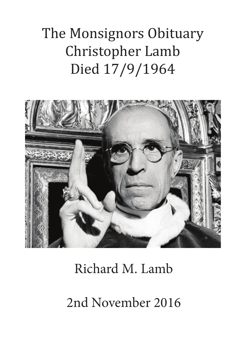# The Monsignors Obituary Christopher Lamb Died 17/9/1964



# Richard M. Lamb

2nd November 2016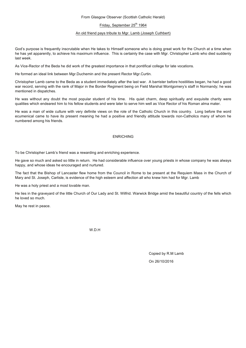#### From Glasgow Observer (Scottish Catholic Herald)

## Friday, September 25<sup>th</sup> 1964

#### An old friend pays tribute to Mgr. Lamb (Joseph Cuthbert)

God's purpose is frequently inscrutable when He takes to Himself someone who is doing great work for the Church at a time when he has yet apparently, to achieve his maximum influence. This is certainly the case with Mgr. Christopher Lamb who died suddenly last week.

As Vice-Rector of the Beda he did work of the greatest importance in that pontifical college for late vocations.

He formed an ideal link between Mgr.Duchemin and the present Rector Mgr.Curtin.

Christopher Lamb came to the Beda as a student immediately after the last war. A barrister before hostilities began, he had a good war record, serving with the rank of Major in the Border Regiment being on Field Marshal Montgomery's staff in Normandy; he was mentioned in dispatches.

He was without any doubt the most popular student of his time. His quiet charm, deep spiritually and exquisite charity were qualities which endeared him to his fellow students and were later to serve him well as Vice Rector of his Roman alma mater.

He was a man of wide culture with very definite views on the role of the Catholic Church in this country. Long before the word ecumenical came to have its present meaning he had a positive and friendly attitude towards non-Catholics many of whom he numbered among his friends.

## ENRICHING

To be Christopher Lamb's friend was a rewarding and enriching experience.

He gave so much and asked so little in return. He had considerable influence over young priests in whose company he was always happy, and whose ideas he encouraged and nurtured.

The fact that the Bishop of Lancaster flew home from the Council in Rome to be present at the Requiem Mass in the Church of Mary and St. Joseph, Carlisle, is evidence of the high esteem and affection all who knew him had for Mgr. Lamb

He was a holy priest and a most lovable man.

He lies in the graveyard of the little Church of Our Lady and St. Wilfrid. Warwick Bridge amid the beautiful country of the fells which he loved so much.

May he rest in peace.

W<sub>D</sub>H

Copied by R.M Lamb On 26/10/2016